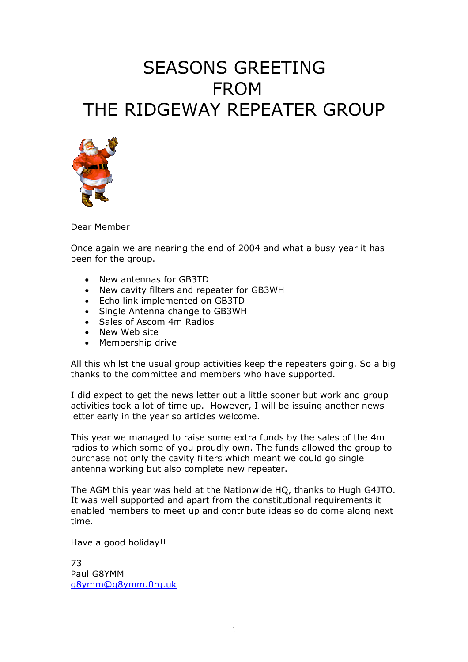# SEASONS GREETING FROM THE RIDGEWAY REPEATER GROUP



Dear Member

Once again we are nearing the end of 2004 and what a busy year it has been for the group.

- New antennas for GB3TD
- New cavity filters and repeater for GB3WH
- Echo link implemented on GB3TD
- Single Antenna change to GB3WH
- Sales of Ascom 4m Radios
- New Web site
- Membership drive

All this whilst the usual group activities keep the repeaters going. So a big thanks to the committee and members who have supported.

I did expect to get the news letter out a little sooner but work and group activities took a lot of time up. However, I will be issuing another news letter early in the year so articles welcome.

This year we managed to raise some extra funds by the sales of the 4m radios to which some of you proudly own. The funds allowed the group to purchase not only the cavity filters which meant we could go single antenna working but also complete new repeater.

The AGM this year was held at the Nationwide HQ, thanks to Hugh G4JTO. It was well supported and apart from the constitutional requirements it enabled members to meet up and contribute ideas so do come along next time.

Have a good holiday!!

73 Paul G8YMM [g8ymm@g8ymm.0rg.uk](mailto:g8ymm@g8ymm.0rg.uk)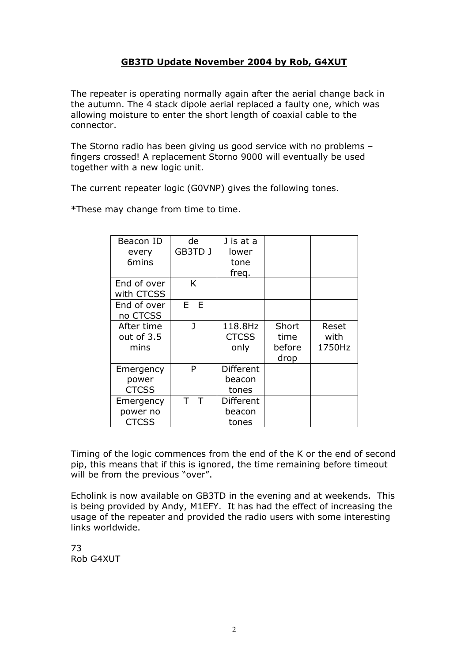## **GB3TD Update November 2004 by Rob, G4XUT**

The repeater is operating normally again after the aerial change back in the autumn. The 4 stack dipole aerial replaced a faulty one, which was allowing moisture to enter the short length of coaxial cable to the connector.

The Storno radio has been giving us good service with no problems – fingers crossed! A replacement Storno 9000 will eventually be used together with a new logic unit.

The current repeater logic (G0VNP) gives the following tones.

\*These may change from time to time.

| Beacon ID<br>every<br>6mins           | de<br>GB3TD J | J is at a<br>lower                  |                                 |                         |
|---------------------------------------|---------------|-------------------------------------|---------------------------------|-------------------------|
|                                       |               | tone<br>freq.                       |                                 |                         |
| End of over<br>with CTCSS             | K             |                                     |                                 |                         |
| End of over<br>no CTCSS               | E E           |                                     |                                 |                         |
| After time<br>out of 3.5<br>mins      | ı             | 118.8Hz<br><b>CTCSS</b><br>only     | Short<br>time<br>before<br>drop | Reset<br>with<br>1750Hz |
| Emergency<br>power<br><b>CTCSS</b>    | P             | <b>Different</b><br>beacon<br>tones |                                 |                         |
| Emergency<br>power no<br><b>CTCSS</b> | T             | Different<br>beacon<br>tones        |                                 |                         |

Timing of the logic commences from the end of the K or the end of second pip, this means that if this is ignored, the time remaining before timeout will be from the previous "over".

Echolink is now available on GB3TD in the evening and at weekends. This is being provided by Andy, M1EFY. It has had the effect of increasing the usage of the repeater and provided the radio users with some interesting links worldwide.

73 Rob G4XUT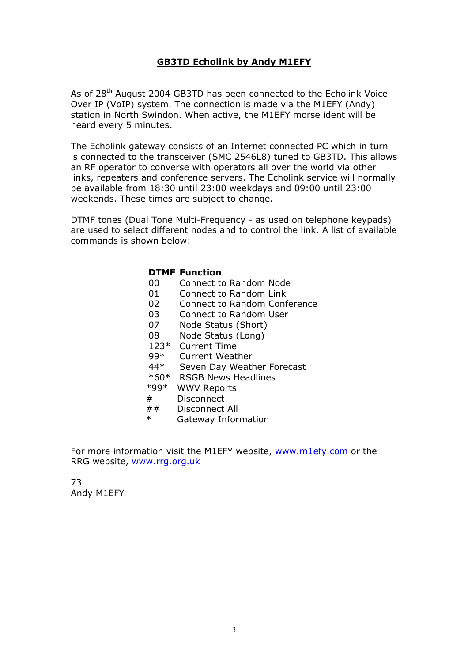## **GB3TD Echolink by Andy M1EFY**

As of 28<sup>th</sup> August 2004 GB3TD has been connected to the Echolink Voice Over IP (VoIP) system. The connection is made via the M1EFY (Andy) station in North Swindon. When active, the M1EFY morse ident will be heard every 5 minutes.

The Echolink gateway consists of an Internet connected PC which in turn is connected to the transceiver (SMC 2546L8) tuned to GB3TD. This allows an RF operator to converse with operators all over the world via other links, repeaters and conference servers. The Echolink service will normally be available from 18:30 until 23:00 weekdays and 09:00 until 23:00 weekends. These times are subject to change.

DTMF tones (Dual Tone Multi-Frequency - as used on telephone keypads) are used to select different nodes and to control the link. A list of available commands is shown below:

#### **DTMF Function**

- 00 Connect to Random Node
- 01 Connect to Random Link
- 02 Connect to Random Conference
- 03 Connect to Random User
- 07 Node Status (Short)
- 08 Node Status (Long)
- 123\* Current Time
- 99\* Current Weather<br>44\* Seven Dav Weath
- Seven Day Weather Forecast
- \*60\* RSGB News Headlines
- \*99\* WWV Reports
- # Disconnect
- ## Disconnect All
- \* Gateway Information

For more information visit the M1EFY website, [www.m1efy.com](http://www.m1efy.com/) or the RRG website, [www.rrg.org.uk](http://www.rrg.org.uk/)

73 Andy M1EFY